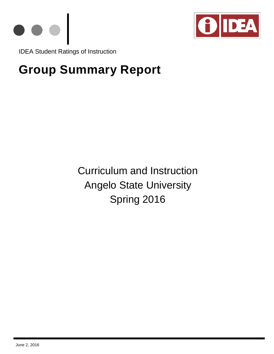



IDEA Student Ratings of Instruction

# **Group Summary Report**

Curriculum and Instruction Angelo State University Spring 2016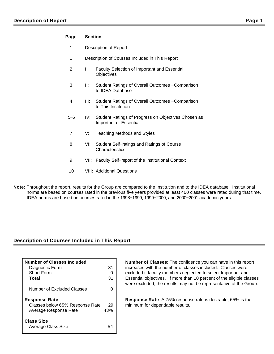## **Page Section**

- 1 Description of Report
- 1 Description of Courses Included in This Report
- 2 I: Faculty Selection of Important and Essential **Objectives**
- 3 II: Student Ratings of Overall Outcomes − Comparison to IDEA Database
- 4 III: Student Ratings of Overall Outcomes − Comparison to This Institution
- 5−6 IV: Student Ratings of Progress on Objectives Chosen as Important or Essential
- 7 V: Teaching Methods and Styles
- 8 VI: Student Self−ratings and Ratings of Course **Characteristics**
- 9 VII: Faculty Self–report of the Institutional Context
- 10 VIII: Additional Questions
- **Note:** Throughout the report, results for the Group are compared to the Institution and to the IDEA database. Institutional norms are based on courses rated in the previous five years provided at least 400 classes were rated during that time. IDEA norms are based on courses rated in the 1998−1999, 1999−2000, and 2000−2001 academic years.

## **Description of Courses Included in This Report**

| <b>Number of Classes Included</b><br>Diagnostic Form<br>Short Form<br>Total      | 31<br>31  |
|----------------------------------------------------------------------------------|-----------|
| Number of Excluded Classes                                                       |           |
| <b>Response Rate</b><br>Classes below 65% Response Rate<br>Average Response Rate | 29<br>43% |
| <b>Class Size</b><br>Average Class Size                                          |           |

**Number of Classes**: The confidence you can have in this report increases with the number of classes included. Classes were excluded if faculty members neglected to select Important and Essential objectives. If more than 10 percent of the eligible classes were excluded, the results may not be representative of the Group.

**Response Rate**: A 75% response rate is desirable; 65% is the minimum for dependable results.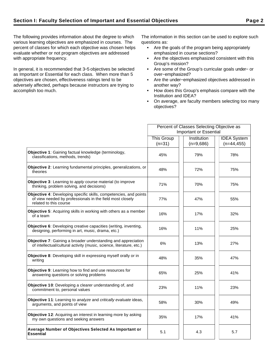The following provides information about the degree to which various learning objectives are emphasized in courses. The percent of classes for which each objective was chosen helps evaluate whether or not program objectives are addressed with appropriate frequency.

In general, it is recommended that 3−5 objectives be selected as Important or Essential for each class. When more than 5 objectives are chosen, effectiveness ratings tend to be adversely affected, perhaps because instructors are trying to accomplish too much.

The information in this section can be used to explore such questions as:

- Are the goals of the program being appropriately emphasized in course sections?
- Are the objectives emphasized consistent with this Group's mission?
- Are some of the Group's curricular goals under− or over−emphasized?
- Are the under−emphasized objectives addressed in  $\bullet$ another way?
- How does this Group's emphasis compare with the Institution and IDEA?
- On average, are faculty members selecting too many objectives?

|                                                                                                                                                          | Percent of Classes Selecting Objective as |             |                    |  |  |
|----------------------------------------------------------------------------------------------------------------------------------------------------------|-------------------------------------------|-------------|--------------------|--|--|
|                                                                                                                                                          | <b>Important or Essential</b>             |             |                    |  |  |
|                                                                                                                                                          | <b>This Group</b>                         | Institution | <b>IDEA</b> System |  |  |
|                                                                                                                                                          | $(n=31)$                                  | $(n=9,686)$ | $(n=44, 455)$      |  |  |
| Objective 1: Gaining factual knowledge (terminology,<br>classifications, methods, trends)                                                                | 45%                                       | 79%         | 78%                |  |  |
| Objective 2: Learning fundamental principles, generalizations, or<br>theories                                                                            | 48%                                       | 72%         | 75%                |  |  |
| <b>Objective 3:</b> Learning to apply course material (to improve<br>thinking, problem solving, and decisions)                                           | 71%                                       | 70%         | 75%                |  |  |
| Objective 4: Developing specific skills, competencies, and points<br>of view needed by professionals in the field most closely<br>related to this course | 77%                                       | 47%         | 55%                |  |  |
| <b>Objective 5:</b> Acquiring skills in working with others as a member<br>of a team                                                                     | 16%                                       | 17%         | 32%                |  |  |
| Objective 6: Developing creative capacities (writing, inventing,<br>designing, performing in art, music, drama, etc.)                                    | 16%                                       | 11%         | 25%                |  |  |
| <b>Objective 7:</b> Gaining a broader understanding and appreciation<br>of intellectual/cultural activity (music, science, literature, etc.)             | 6%                                        | 13%         | 27%                |  |  |
| Objective 8: Developing skill in expressing myself orally or in<br>writing                                                                               | 48%                                       | 35%         | 47%                |  |  |
| Objective 9: Learning how to find and use resources for<br>answering questions or solving problems                                                       | 65%                                       | 25%         | 41%                |  |  |
| Objective 10: Developing a clearer understanding of, and<br>commitment to, personal values                                                               | 23%                                       | 11%         | 23%                |  |  |
| <b>Objective 11:</b> Learning to analyze and critically evaluate ideas,<br>arguments, and points of view                                                 | 58%                                       | 30%         | 49%                |  |  |
| Objective 12: Acquiring an interest in learning more by asking<br>my own questions and seeking answers                                                   | 35%                                       | 17%         | 41%                |  |  |
| Average Number of Objectives Selected As Important or<br><b>Essential</b>                                                                                | 5.1                                       | 4.3         | 5.7                |  |  |
|                                                                                                                                                          |                                           |             |                    |  |  |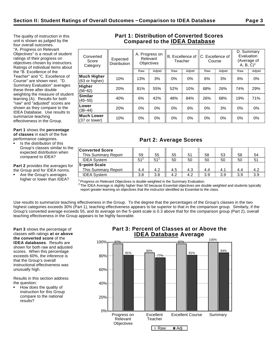The quality of instruction in this unit is shown as judged by the four overall outcomes. "A. Progress on Relevant Objectives" is a result of student ratings of their progress on objectives chosen by instructors. Ratings of individual items about the "B. Excellence of the Teacher" and "C. Excellence of Course" are shown next. "D. Summary Evaluation" averages these three after double weighting the measure of student learning (A). Results for both "raw" and "adjusted" scores are shown as they compare to the IDEA Database. Use results to

**Part 1** shows the **percentage of classes** in each of the five performance categories.

summarize teaching effectiveness in the Group.

Is the distribution of this Group's classes similar to the expected distribution when compared to IDEA?

**Part 2** provides the averages for the Group and for IDEA norms.

Are the Group's averages higher or lower than IDEA?

## **Part 1: Distribution of Converted Scores Compared to the IDEA Database**

| Converted<br>Score<br>Category       | Expected<br><b>Distribution</b> | A. Progress on<br>Relevant<br><b>Objectives</b> |        |       |        | B. Excellence of IIC. Excellence of<br>Teacher |        | Course |        | D. Summary<br>Evaluation<br>(Average of<br>$A, B, C$ <sup>1</sup> |  |  |
|--------------------------------------|---------------------------------|-------------------------------------------------|--------|-------|--------|------------------------------------------------|--------|--------|--------|-------------------------------------------------------------------|--|--|
|                                      |                                 | Raw                                             | Adjstd | Raw   | Adjstd | Raw                                            | Adjstd | Raw    | Adjstd |                                                                   |  |  |
| <b>Much Higher</b><br>(63 or higher) | 10%                             | 13%                                             | 3%     | $0\%$ | $0\%$  | 6%                                             | 3%     | 6%     | 0%     |                                                                   |  |  |
| Higher<br>$(56 - 62)$                | 20%                             | 81%                                             | 55%    | 52%   | 10%    | 68%                                            | 26%    | 74%    | 29%    |                                                                   |  |  |
| <b>Similar</b><br>$(45 - 55)$        | 40%                             | 6%                                              | 42%    | 48%   | 84%    | 26%                                            | 68%    | 19%    | 71%    |                                                                   |  |  |
| Lower<br>$(38 - 44)$                 | 20%                             | 0%                                              | $0\%$  | $0\%$ | 6%     | 0%                                             | 3%     | 0%     | 0%     |                                                                   |  |  |
| <b>Much Lower</b><br>(37 or lower)   | 10%                             | $0\%$                                           | 0%     | $0\%$ | 0%     | $0\%$                                          | 0%     | 0%     | 0%     |                                                                   |  |  |
|                                      |                                 |                                                 |        |       |        |                                                |        |        |        |                                                                   |  |  |

# **Part 2: Average Scores**

| <b>Converted Score</b> |                 |        |     |                |     |     |     |     |
|------------------------|-----------------|--------|-----|----------------|-----|-----|-----|-----|
| This Summary Report    | 59              | 55     | 55  | 5 <sup>1</sup> | 58  | 53  | 58  | 54  |
| <b>IDEA System</b>     | 51 <sup>2</sup> | $51^2$ | 50  | 50             | 50  | 50  | 50  |     |
| 5-point Scale          |                 |        |     |                |     |     |     |     |
| This Summary Report    | 4.4             | 4.2    | 4.5 | 4.3            | 4.4 | 4.1 | 4.4 |     |
| <b>IDEA System</b>     | 3.8             | 3.8    | 4.2 | 4.2            | 3.9 | 3.9 | 3.9 | 3.9 |

 $1$ Progress on Relevant Objectives is double weighted in the Summary Evaluation.

 $^2$  The IDEA Average is slightly higher than 50 because Essential objectives are double weighted and students typically report greater learning on objectives that the instructor identified as Essential to the class.

Use results to summarize teaching effectiveness in the Group. To the degree that the percentages of the Group's classes in the two highest categories exceeds 30% (Part 1), teaching effectiveness appears to be superior to that in the comparison group. Similarly, if the Group's converted average exceeds 55, and its average on the 5−point scale is 0.3 above that for the comparison group (Part 2), overall teaching effectiveness in the Group appears to be highly favorable.

**Part 3** shows the percentage of classes with ratings **at or above the converted score** of the **IDEA databases**. Results are shown for both raw and adjusted scores. When this percentage exceeds 60%, the inference is that the Group's overall instructional effectiveness was unusually high.

Results in this section address the question:

How does the quality of instruction for this Group compare to the national results?

# **Part 3: Percent of Classes at or Above the IDEA Database Average**

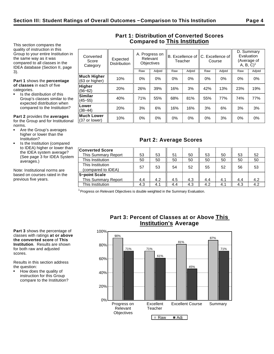This section compares the quality of instruction in this Group to your entire Institution in the same way as it was compared to all classes in the IDEA database (Section II, page 3).

**Part 1** shows the **percentage of classes** in each of five categories.

Is the distribution of this Group's classes similar to the expected distribution when compared to the Institution?

**Part 2** provides the **averages** for the Group and for Institutional norms.

- Are the Group's averages higher or lower than the Institution?
- Is the Institution (compared to IDEA) higher or lower than the IDEA system average? (See page 3 for IDEA System averages.)

Note: Institutional norms are based on courses rated in the previous five years.

# **Compared to This Institution**  $\overline{A}$ . Programs on D. Summary

**Part 1: Distribution of Converted Scores** 

| Converted<br>Score<br>Category       | Expected<br><b>Distribution</b> |       | A. PIUGIESS UII<br>Relevant<br><b>Objectives</b> | B. Excellence of<br>Teacher |        |       |        | Course | C. Excellence of | Evaluation<br>(Average of<br>$A, B, C$ <sup>1</sup> |  |  |
|--------------------------------------|---------------------------------|-------|--------------------------------------------------|-----------------------------|--------|-------|--------|--------|------------------|-----------------------------------------------------|--|--|
|                                      |                                 | Raw   | Adjstd                                           | Raw                         | Adjstd | Raw   | Adjstd | Raw    | Adjstd           |                                                     |  |  |
| <b>Much Higher</b><br>(63 or higher) | 10%                             | $0\%$ | $0\%$                                            | 0%                          | $0\%$  | $0\%$ | $0\%$  | $0\%$  | $0\%$            |                                                     |  |  |
| Higher<br>$(56 - 62)$                | 20%                             | 26%   | 39%                                              | 16%                         | 3%     | 42%   | 13%    | 23%    | 19%              |                                                     |  |  |
| <b>Similar</b><br>$(45 - 55)$        | 40%                             | 71%   | 55%                                              | 68%                         | 81%    | 55%   | 77%    | 74%    | 77%              |                                                     |  |  |
| Lower<br>$(38 - 44)$                 | 20%                             | 3%    | 6%                                               | 16%                         | 16%    | 3%    | 6%     | 3%     | 3%               |                                                     |  |  |
| <b>Much Lower</b><br>(37 or lower)   | 10%                             | $0\%$ | $0\%$                                            | $0\%$                       | $0\%$  | $0\%$ | 3%     | $0\%$  | 0%               |                                                     |  |  |

# **Part 2: Average Scores**

| <b>Converted Score</b> |     |     |     |     |     |     |     |     |
|------------------------|-----|-----|-----|-----|-----|-----|-----|-----|
| This Summary Report    | 53  | 53  | 51  | 50  | 53  | 50  | 53  | 52  |
| This Institution       | 50  | 50  | 50  | 50  | 50  | 50  | 50  | 50  |
| This Institution       | 57  | 53  | 54  | 52  | 55  | 52  | 56  | 53  |
| (compared to IDEA)     |     |     |     |     |     |     |     |     |
| 5-point Scale          |     |     |     |     |     |     |     |     |
| This Summary Report    | 4.4 | 4.2 | 4.5 | 4.3 | 4.4 | 4.1 | 4.4 | 4.2 |
| This Institution       | 4.3 | 4.1 | 4.4 | 4.3 | 4.2 | 4.1 | 4.3 | 4.2 |

 $1$  Progress on Relevant Objectives is double weighted in the Summary Evaluation.

**Part 3** shows the percentage of classes with ratings **at or above the converted score** of **This Institution**. Results are shown for both raw and adjusted scores.

Results in this section address the question:

How does the quality of instruction for this Group compare to the Institution?

# **Part 3: Percent of Classes at or Above This Institution's Average**

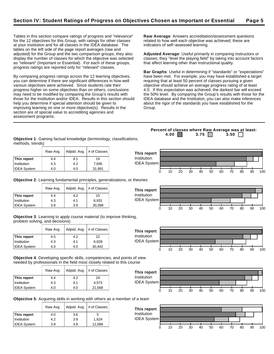Tables in this section compare ratings of progress and "relevance" for the 12 objectives for this Group, with ratings for other classes at your institution and for all classes in the IDEA database. The tables on the left side of the page report averages (raw and adjusted) for the Group and the two comparison groups; they also display the number of classes for which the objective was selected as "relevant" (Important or Essential). For each of these groups, progress ratings are reported only for "relevant" classes.

By comparing progress ratings across the 12 learning objectives, you can determine if there are significant differences in how well various objectives were achieved. Since students rate their progress higher on some objectives than on others, conclusions may need to be modified by comparing the Group's results with those for the Institution and/or IDEA. Results in this section should help you determine if special attention should be given to improving learning on one or more objective(s). Results in the section are of special value to accrediting agencies and assessment programs.

**Raw Average**: Answers accreditation/assessment questions related to how well each objective was achieved; these are indicators of self−assessed learning.

**Adjusted Average**: Useful primarily in comparing instructors or classes; they "level the playing field" by taking into account factors that affect learning other than instructional quality.

**Bar Graphs**: Useful in determining if "standards" or "expectations" have been met. For example, you may have established a target requiring that at least 50 percent of classes pursuing a given objective should achieve an average progress rating of at least 4.0. If this expectation was achieved, the darkest bar will exceed the 50% level. By comparing the Group's results with those for the IDEA database and the Institution, you can also make inferences about the rigor of the standards you have established for the Group.

**Objective 1**: Gaining factual knowledge (terminology, classifications, methods, trends)

|                    | Raw Avg. |     | Adjstd. Avg. $#$ of Classes | This report        |    |    |    |    |    |    |    |    |    |     |
|--------------------|----------|-----|-----------------------------|--------------------|----|----|----|----|----|----|----|----|----|-----|
| This report        | 4.4      | 4.1 | 14                          | Institution        |    |    |    |    |    |    |    |    |    |     |
| Institution        | 4.3      | 4.2 | 7,695                       | <b>IDEA System</b> |    |    |    |    |    |    |    |    |    |     |
| <b>IDEA System</b> | 4.0      | 4.0 | 31,991                      |                    | 10 | 20 | 30 | 40 | 50 | 60 | 70 | 80 | 90 | 100 |

**This report** Institution IDEA System

**Objective 2**: Learning fundamental principles, generalizations, or theories

|                    | Raw Avg. | Adjstd. Avg. | # of Classes |
|--------------------|----------|--------------|--------------|
| This report        | 4.4      | 4.2          | 15           |
| Institution        | 4.3      | 4.1          | 6.931        |
| <b>IDEA System</b> | 3.9      | 3.9          | 30,398       |

**Objective 3**: Learning to apply course material (to improve thinking, problem solving, and decisions)

|                    | Raw Avg. | Adjstd. Avg. | # of Classes |
|--------------------|----------|--------------|--------------|
| This report        | 4.5      | 4.2          | 22           |
| Institution        | 4.3      | 4.1          | 6,828        |
| <b>IDEA System</b> | 4.0      | 4.0          | 30,442       |

**Objective 4**: Developing specific skills, competencies, and points of view needed by professionals in the field most closely related to this course

|                    | Raw Avg. | Adjstd. Avg. | # of Classes |
|--------------------|----------|--------------|--------------|
| This report        | 4.4      | 4.2          | 24           |
| Institution        | 4.3      | 4.1          | 4.573        |
| <b>IDEA System</b> | 4.0      | 4.0          | 21,568       |



0 10 20 30 40 50 60 70 80 90 100

**Objective 5**: Acquiring skills in working with others as a member of a team

|                    | Raw Avg. | Adjstd. Avg. | # of Classes |
|--------------------|----------|--------------|--------------|
| This report        | 4.0      | 3.6          | 5            |
| Institution        | 4.2      | 3.9          | 1.624        |
| <b>IDEA System</b> | 3.9      | 3.9          | 12,088       |



**Percent of classes where Raw Average was at least: 4.00 3.75 3.50** 



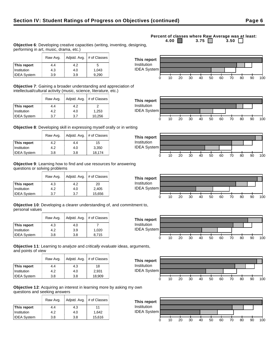# Raw Avg.  $\vert$  Adjstd. Avg.  $\vert \#$  of Classes **This report**  $\begin{array}{|c|c|c|c|c|} \hline 4.4 & 4.2 & 5 \hline \end{array}$

**Objective 6**: Developing creative capacities (writing, inventing, designing,

performing in art, music, drama, etc.)

**Objective 7**: Gaining a broader understanding and appreciation of intellectual/cultural activity (music, science, literature, etc.)

|                    | Adjstd. Avg.<br>Raw Avg. |     | # of Classes |
|--------------------|--------------------------|-----|--------------|
| This report        | 4.4                      | 4.2 |              |
| Institution        | 4.2                      | 4.0 | 1,253        |
| <b>IDEA System</b> | 3.7                      | 3.7 | 10,256       |

**Objective 8**: Developing skill in expressing myself orally or in writing

|                    | Adjstd. Avg.<br>Raw Avg. |     | # of Classes |
|--------------------|--------------------------|-----|--------------|
| This report        | 4.2                      | 4.4 | 15           |
| Institution        | 4.2                      | 4.0 | 3,350        |
| <b>IDEA System</b> | 3.8                      | 3.8 | 18,174       |

**Objective 9**: Learning how to find and use resources for answering questions or solving problems

|                    | Raw Avg. | Adjstd. Avg. | # of Classes |
|--------------------|----------|--------------|--------------|
| This report        | 4.3      | 4.2          | 20           |
| Institution        | 4.2      | 4.0          | 2,405        |
| <b>IDEA System</b> | 3.7      | 3.7          | 15,656       |

**Objective 10**: Developing a clearer understanding of, and commitment to, personal values

|                    | Adjstd. Avg.<br>Raw Avg. |     | # of Classes |
|--------------------|--------------------------|-----|--------------|
| This report        | 4.3                      | 4.0 |              |
| Institution        | 4.2                      | 3.9 | 1.020        |
| <b>IDEA System</b> | 3.8                      | 3.8 | 8,715        |

**Objective 11**: Learning to analyze and critically evaluate ideas, arguments, and points of view

|                    | Raw Avg. | Adjstd. Avg. | # of Classes |
|--------------------|----------|--------------|--------------|
| This report        | 4.4      | 4.3          | 18           |
| Institution        | 4.2      | 4.0          | 2.931        |
| <b>IDEA System</b> | 3.8      | 3.8          | 18,909       |

**Objective 12**: Acquiring an interest in learning more by asking my own questions and seeking answers

|                    | Raw Avg. | Adjstd. Avg. | # of Classes |
|--------------------|----------|--------------|--------------|
| This report        | 4.4      | 4.3          | 11           |
| Institution        | 4.2      | 4.0          | 1.642        |
| <b>IDEA System</b> | 3.8      | 3.8          | 15,616       |

#### **Percent of classes where Raw Average was at least:**<br>4.00 3.75 3.50 3.50 3.75  $\Box$













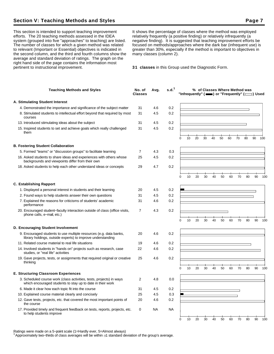## **Section V: Teaching Methods and Styles Page 7**

This section is intended to support teaching improvement efforts. The 20 teaching methods assessed in the IDEA system (grouped into five "approaches" to teaching) are listed. The number of classes for which a given method was related to relevant (Important or Essential) objectives is indicated in the second column, and the third and fourth columns show the average and standard deviation of ratings. The graph on the right hand side of the page contains the information most pertinent to instructional improvement.

It shows the percentage of classes where the method was employed relatively frequently (a positive finding) or relatively infrequently (a negative finding). It is suggested that teaching improvement efforts be focused on methods/approaches where the dark bar (infrequent use) is greater than 30%, especially if the method is important to objectives in many classes (column 2).

**31 classes** in this Group used the Diagnostic Form.

| <b>Teaching Methods and Styles</b>                                                                                                 | No. of<br><b>Classes</b> | Avg.      | s.d. <sup>1</sup> |          |    |    |    |    | % of Classes Where Method was<br>"Infrequently" ( $\equiv$ ) or "Frequently" ( $\equiv$ ) Used |    |    |    |    |     |
|------------------------------------------------------------------------------------------------------------------------------------|--------------------------|-----------|-------------------|----------|----|----|----|----|------------------------------------------------------------------------------------------------|----|----|----|----|-----|
| A. Stimulating Student Interest                                                                                                    |                          |           |                   |          |    |    |    |    |                                                                                                |    |    |    |    |     |
| 4. Demonstrated the importance and significance of the subject matter                                                              | 31                       | 4.6       | 0.2               |          |    |    |    |    |                                                                                                |    |    |    |    |     |
| 8. Stimulated students to intellectual effort beyond that required by most<br>courses                                              | 31                       | 4.5       | 0.2               |          |    |    |    |    |                                                                                                |    |    |    |    |     |
| 13. Introduced stimulating ideas about the subject                                                                                 | 31                       | 4.5       | 0.2               |          |    |    |    |    |                                                                                                |    |    |    |    |     |
| 15. Inspired students to set and achieve goals which really challenged<br>them                                                     | 31                       | 4.5       | 0.2               |          |    |    |    |    |                                                                                                |    |    |    |    |     |
|                                                                                                                                    |                          |           |                   | $\Omega$ | 10 | 20 | 30 | 40 | 50                                                                                             | 60 | 70 | 80 | 90 | 100 |
| <b>B. Fostering Student Collaboration</b>                                                                                          |                          |           |                   |          |    |    |    |    |                                                                                                |    |    |    |    |     |
| 5. Formed "teams" or "discussion groups" to facilitate learning                                                                    | 7                        | 4.3       | 0.3               |          |    |    |    |    |                                                                                                |    |    |    |    |     |
| 16. Asked students to share ideas and experiences with others whose<br>backgrounds and viewpoints differ from their own            | 25                       | 4.5       | 0.2               |          |    |    |    |    |                                                                                                |    |    |    |    |     |
| 18. Asked students to help each other understand ideas or concepts                                                                 | 29                       | 4.7       | 0.2               |          |    |    |    |    |                                                                                                |    |    |    |    |     |
|                                                                                                                                    |                          |           |                   | 0        | 10 | 20 | 30 | 40 | 50                                                                                             | 60 | 70 | 80 | 90 | 100 |
| <b>C. Establishing Rapport</b>                                                                                                     |                          |           |                   |          |    |    |    |    |                                                                                                |    |    |    |    |     |
| 1. Displayed a personal interest in students and their learning                                                                    | 20                       | 4.5       | 0.2               |          |    |    |    |    |                                                                                                |    |    |    |    |     |
| 2. Found ways to help students answer their own questions                                                                          | 31                       | 4.5       | 0.2               |          |    |    |    |    |                                                                                                |    |    |    |    |     |
| 7. Explained the reasons for criticisms of students' academic<br>performance                                                       | 31                       | 4.6       | 0.2               |          |    |    |    |    |                                                                                                |    |    |    |    |     |
| 20. Encouraged student-faculty interaction outside of class (office visits,<br>phone calls, e-mail, etc.)                          | $\overline{7}$           | 4.3       | 0.2               |          |    |    |    |    |                                                                                                |    |    |    |    |     |
|                                                                                                                                    |                          |           |                   | $\Omega$ | 10 | 20 | 30 | 40 | 50                                                                                             | 60 | 70 | 80 | 90 | 100 |
| D. Encouraging Student Involvement                                                                                                 |                          |           |                   |          |    |    |    |    |                                                                                                |    |    |    |    |     |
| 9. Encouraged students to use multiple resources (e.g. data banks,<br>library holdings, outside experts) to improve understanding  | 20                       | 4.6       | 0.2               |          |    |    |    |    |                                                                                                |    |    |    |    |     |
| 11. Related course material to real life situations                                                                                | 19                       | 4.6       | 0.2               |          |    |    |    |    |                                                                                                |    |    |    |    |     |
| 14. Involved students in "hands on" projects such as research, case<br>studies, or "real life" activities                          | 22                       | 4.6       | 0.2               |          |    |    |    |    |                                                                                                |    |    |    |    |     |
| 19. Gave projects, tests, or assignments that required original or creative<br>thinking                                            | 25                       | 4.6       | 0.2               |          |    |    |    |    |                                                                                                |    |    |    |    |     |
|                                                                                                                                    |                          |           |                   | 0        | 10 | 20 | 30 | 40 | 50                                                                                             | 60 | 70 | 80 | 90 | 100 |
| <b>E. Structuring Classroom Experiences</b>                                                                                        |                          |           |                   |          |    |    |    |    |                                                                                                |    |    |    |    |     |
| 3. Scheduled course work (class activities, tests, projects) in ways<br>which encouraged students to stay up to date in their work | 2                        | 4.8       | 0.0               |          |    |    |    |    |                                                                                                |    |    |    |    |     |
| 6. Made it clear how each topic fit into the course                                                                                | 31                       | 4.5       | 0.2               |          |    |    |    |    |                                                                                                |    |    |    |    |     |
| 10. Explained course material clearly and concisely                                                                                | 25                       | 4.5       | 0.3               |          |    |    |    |    |                                                                                                |    |    |    |    |     |
| 12. Gave tests, projects, etc. that covered the most important points of<br>the course                                             | 20                       | 4.6       | 0.2               |          |    |    |    |    |                                                                                                |    |    |    |    |     |
| 17. Provided timely and frequent feedback on tests, reports, projects, etc.<br>to help students improve                            | 0                        | <b>NA</b> | <b>NA</b>         |          |    |    |    |    |                                                                                                |    |    |    |    |     |
|                                                                                                                                    |                          |           |                   | 0        | 10 | 20 | 30 | 40 | 50                                                                                             | 60 | 70 | 80 | 90 | 100 |

Ratings were made on a 5−point scale (1=Hardly ever, 5=Almost always)

<sup>1</sup>Approximately two−thirds of class averages will be within 1 standard deviation of the group's average.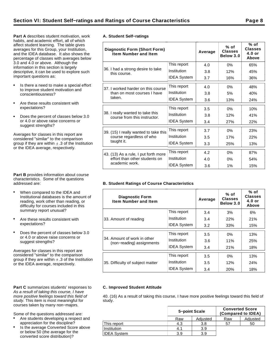**Part A** describes student motivation, work habits, and academic effort, all of which affect student learning. The table gives averages for this Group, your Institution, and the IDEA database. It also shows the percentage of classes with averages below 3.0 and 4.0 or above. Although the information in this section is largely descriptive, it can be used to explore such important questions as:

- Is there a need to make a special effort to improve student motivation and conscientiousness?
- Are these results consistent with expectations?
- Does the percent of classes below 3.0  $\bullet$ or 4.0 or above raise concerns or suggest strengths?

Averages for classes in this report are considered "similar" to the comparison group if they are within  $\pm$  .3 of the Institution or the IDEA average, respectively.

**Part B** provides information about course characteristics. Some of the questions addressed are:

- When compared to the IDEA and Institutional databases is the amount of reading, work other than reading, or difficulty for courses included in this summary report unusual?
- Are these results consistent with expectations?
- Does the percent of classes below 3.0 or 4.0 or above raise concerns or suggest strengths?

Averages for classes in this report are considered "similar" to the comparison group if they are within  $\pm$  .3 of the Institution or the IDEA average, respectively.

#### Part C summarizes students' responses to As a result of taking this course, I have more positive feelings toward this field of study. This item is most meaningful for courses taken by many non−majors.

Some of the questions addressed are:

- Are students developing a respect and appreciation for the discipline?
- Is the average Converted Score above or below 50 (the average for the converted score distribution)?

|  | A. Student Self-ratings |
|--|-------------------------|

| <b>Diagnostic Form (Short Form)</b><br><b>Item Number and Item</b> |                    | Average | $%$ of<br><b>Classes</b><br>Below 3.0 | % of<br><b>Classes</b><br>$4.0$ or<br>Above |
|--------------------------------------------------------------------|--------------------|---------|---------------------------------------|---------------------------------------------|
|                                                                    | This report        | 4.0     | 0%                                    | 65%                                         |
| 36. I had a strong desire to take<br>this course.                  | Institution        | 3.8     | 12%                                   | 45%                                         |
|                                                                    | <b>IDEA System</b> | 3.7     | 16%                                   | 36%                                         |
| 37. I worked harder on this course                                 | This report        | 4.0     | 0%                                    | 48%                                         |
| than on most courses I have                                        | Institution        | 3.8     | 5%                                    | 40%                                         |
| taken.                                                             | <b>IDEA System</b> | 3.6     | 13%                                   | 24%                                         |
|                                                                    | This report        | 3.5     | 0%                                    | 10%                                         |
| 38. I really wanted to take this<br>course from this instructor.   | Institution        | 3.8     | 12%                                   | 41%                                         |
|                                                                    | <b>IDEA System</b> | 3.4     | 27%                                   | 22%                                         |
| 39. (15) I really wanted to take this                              | This report        | 3.7     | 0%                                    | 23%                                         |
| course regardless of who                                           | Institution        | 3.5     | 17%                                   | 22%                                         |
| taught it.                                                         | <b>IDEA System</b> | 3.3     | 25%                                   | 13%                                         |
| 43. (13) As a rule, I put forth more                               | This report        | 4.2     | 0%                                    | 87%                                         |
| effort than other students on                                      | Institution        | 4.0     | 0%                                    | 54%                                         |
| academic work.                                                     | <b>IDEA System</b> | 3.6     | 1%                                    | 15%                                         |

## **B. Student Ratings of Course Characteristics**

| <b>Diagnostic Form</b><br><b>Item Number and Item</b>    |                    | Average | $%$ of<br><b>Classes</b><br>Below 3.0 | % of<br><b>Classes</b><br>$4.0$ or<br>Above |
|----------------------------------------------------------|--------------------|---------|---------------------------------------|---------------------------------------------|
|                                                          | This report        | 3.4     | 3%                                    | 6%                                          |
| 33. Amount of reading                                    | Institution        | 3.4     | 22%                                   | 21%                                         |
|                                                          | <b>IDEA System</b> | 3.2     | 33%                                   | 15%                                         |
|                                                          | This report        | 3.5     | $0\%$                                 | 13%                                         |
| 34. Amount of work in other<br>(non-reading) assignments | Institution        | 3.6     | 11%                                   | 25%                                         |
|                                                          | <b>IDEA System</b> | 3.4     | 21%                                   | 18%                                         |
|                                                          | This report        | 3.5     | $0\%$                                 | 13%                                         |
| 35. Difficulty of subject matter                         | Institution        | $3.5\,$ | 12%                                   | 24%                                         |
|                                                          | <b>IDEA System</b> | 3.4     | 20%                                   | 18%                                         |

### **C. Improved Student Attitude**

40. (16) As a result of taking this course, I have more positive feelings toward this field of study.

|                    | 5-point Scale |          | <b>Converted Score</b><br>(Compared to IDEA) |          |  |  |  |
|--------------------|---------------|----------|----------------------------------------------|----------|--|--|--|
|                    | Raw           | Adjusted | Raw                                          | Adjusted |  |  |  |
| This report        | 4.3           | 3.8      |                                              | 50       |  |  |  |
| Institution        | 4.1           | 3.9      |                                              |          |  |  |  |
| <b>IDEA System</b> | 3.9           | 3.9      |                                              |          |  |  |  |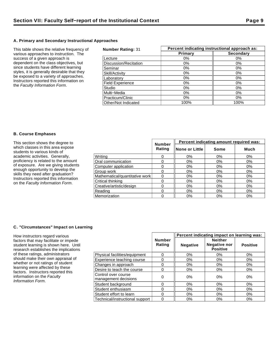## **A. Primary and Secondary Instructional Approaches**

This table shows the relative frequency of various approaches to instruction. The success of a given approach is dependent on the class objectives, but since students have different learning styles, it is generally desirable that they be exposed to a variety of approaches. Instructors reported this information on the Faculty Information Form.

| <b>Number Rating: 31</b> |         | Percent indicating instructional approach as: |  |  |  |
|--------------------------|---------|-----------------------------------------------|--|--|--|
|                          | Primary | <b>Secondary</b>                              |  |  |  |
| Lecture                  | $0\%$   | $0\%$                                         |  |  |  |
| Discussion/Recitation    | $0\%$   | 0%                                            |  |  |  |
| Seminar                  | $0\%$   | 0%                                            |  |  |  |
| Skill/Activity           | $0\%$   | 0%                                            |  |  |  |
| Laboratory               | 0%      | $0\%$                                         |  |  |  |
| <b>Field Experience</b>  | $0\%$   | 0%                                            |  |  |  |
| Studio                   | 0%      | $0\%$                                         |  |  |  |
| Multi-Media              | $0\%$   | $0\%$                                         |  |  |  |
| Practicum/Clinic         | $0\%$   | $0\%$                                         |  |  |  |
| Other/Not Indicated      | 100%    | 100%                                          |  |  |  |

## **B. Course Emphases**

| This section shows the degree to                                                                                                                                                                                                                                       | <b>Number</b>                  | Percent indicating amount required was: |                 |       |       |
|------------------------------------------------------------------------------------------------------------------------------------------------------------------------------------------------------------------------------------------------------------------------|--------------------------------|-----------------------------------------|-----------------|-------|-------|
| which classes in this area expose<br>students to various kinds of                                                                                                                                                                                                      |                                | Rating                                  | ∥None or Little | Some  | Much  |
| academic activities. Generally,<br>proficiency is related to the amount<br>of exposure. Are we giving students<br>enough opportunity to develop the<br>skills they need after graduation?<br>Instructors reported this information<br>on the Faculty Information Form. | Writina                        |                                         | 0%              | 0%    | 0%    |
|                                                                                                                                                                                                                                                                        | Oral communication             |                                         | 0%              | 0%    | 0%    |
|                                                                                                                                                                                                                                                                        | Computer application           |                                         | $0\%$           | 0%    | 0%    |
|                                                                                                                                                                                                                                                                        | Group work                     |                                         | 0%              | $0\%$ | $0\%$ |
|                                                                                                                                                                                                                                                                        | Mathematical/quantitative work |                                         | 0%              | $0\%$ | 0%    |
|                                                                                                                                                                                                                                                                        | Critical thinking              |                                         | 0%              | 0%    | $0\%$ |
|                                                                                                                                                                                                                                                                        | Creative/artistic/design       |                                         | 0%              | 0%    | 0%    |
|                                                                                                                                                                                                                                                                        | Reading                        |                                         | 0%              | $0\%$ | 0%    |
|                                                                                                                                                                                                                                                                        | Memorization                   |                                         | 0%              | $0\%$ | 0%    |

## **C. "Circumstances" Impact on Learning**

How instructors regard various factors that may facilitate or impede student learning is shown here. Until research establishes the implications of these ratings, administrators should make their own appraisal of whether or not ratings of student learning were affected by these factors. Instructors reported this information on the Faculty Information Form.

|                                             |                         | Percent indicating impact on learning was: |                                                          |                 |  |
|---------------------------------------------|-------------------------|--------------------------------------------|----------------------------------------------------------|-----------------|--|
|                                             | <b>Number</b><br>Rating | <b>Negative</b>                            | <b>Neither</b><br><b>Negative nor</b><br><b>Positive</b> | <b>Positive</b> |  |
| Physical facilities/equipment               | 0                       | 0%                                         | $0\%$                                                    | 0%              |  |
| Experience teaching course                  | 0                       | 0%                                         | 0%                                                       | 0%              |  |
| Changes in approach                         | 0                       | $0\%$                                      | 0%                                                       | 0%              |  |
| Desire to teach the course                  | 0                       | $0\%$                                      | $0\%$                                                    | $0\%$           |  |
| Control over course<br>management decisions | 0                       | 0%                                         | 0%                                                       | 0%              |  |
| Student background                          | 0                       | 0%                                         | 0%                                                       | $0\%$           |  |
| Student enthusiasm                          | 0                       | $0\%$                                      | $0\%$                                                    | 0%              |  |
| Student effort to learn                     | 0                       | 0%                                         | 0%                                                       | 0%              |  |
| Technical/instructional support             | 0                       | 0%                                         | $0\%$                                                    | 0%              |  |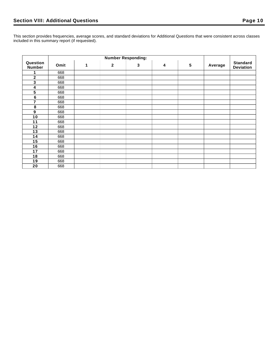This section provides frequencies, average scores, and standard deviations for Additional Questions that were consistent across classes included in this summary report (if requested).

|                           | <b>Number Responding:</b> |   |              |   |   |                 |         |                                     |
|---------------------------|---------------------------|---|--------------|---|---|-----------------|---------|-------------------------------------|
| Question<br><b>Number</b> | Omit                      | 1 | $\mathbf{2}$ | 3 | 4 | $5\phantom{.0}$ | Average | <b>Standard</b><br><b>Deviation</b> |
| 1                         | 668                       |   |              |   |   |                 |         |                                     |
| $\mathbf 2$               | 668                       |   |              |   |   |                 |         |                                     |
| 3                         | 668                       |   |              |   |   |                 |         |                                     |
| 4                         | 668                       |   |              |   |   |                 |         |                                     |
| 5                         | 668                       |   |              |   |   |                 |         |                                     |
| $\bf 6$                   | 668                       |   |              |   |   |                 |         |                                     |
| 7                         | 668                       |   |              |   |   |                 |         |                                     |
| 8                         | 668                       |   |              |   |   |                 |         |                                     |
| 9                         | 668                       |   |              |   |   |                 |         |                                     |
| 10                        | 668                       |   |              |   |   |                 |         |                                     |
| 11                        | 668                       |   |              |   |   |                 |         |                                     |
| $12$                      | 668                       |   |              |   |   |                 |         |                                     |
| 13                        | 668                       |   |              |   |   |                 |         |                                     |
| 14                        | 668                       |   |              |   |   |                 |         |                                     |
| 15                        | 668                       |   |              |   |   |                 |         |                                     |
| 16                        | 668                       |   |              |   |   |                 |         |                                     |
| 17                        | 668                       |   |              |   |   |                 |         |                                     |
| 18                        | 668                       |   |              |   |   |                 |         |                                     |
| 19                        | 668                       |   |              |   |   |                 |         |                                     |
| 20                        | 668                       |   |              |   |   |                 |         |                                     |